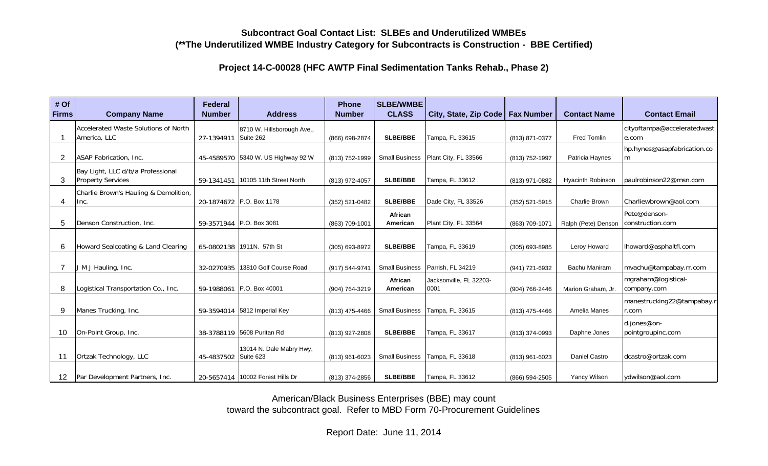## **Subcontract Goal Contact List: SLBEs and Underutilized WMBEs(\*\*The Underutilized WMBE Industry Category for Subcontracts is Construction - BBE Certified)**

**Project 14-C-00028 (HFC AWTP Final Sedimentation Tanks Rehab., Phase 2)**

| # Of<br><b>Firms</b> | <b>Company Name</b>                                           | Federal<br><b>Number</b> | <b>Address</b>                     | <b>Phone</b><br><b>Number</b> | <b>SLBE/WMBE</b><br><b>CLASS</b> | City, State, Zip Code   Fax Number |                | <b>Contact Name</b>      | <b>Contact Email</b>                 |
|----------------------|---------------------------------------------------------------|--------------------------|------------------------------------|-------------------------------|----------------------------------|------------------------------------|----------------|--------------------------|--------------------------------------|
|                      | Accelerated Waste Solutions of North<br>America, LLC          | 27-1394911 Suite 262     | 8710 W. Hillsborough Ave.,         | (866) 698-2874                | <b>SLBE/BBE</b>                  | Tampa, FL 33615                    | (813) 871-0377 | Fred Tomlin              | cityoftampa@acceleratedwast<br>e.com |
| 2                    | ASAP Fabrication, Inc.                                        |                          | 45-4589570 5340 W. US Highway 92 W | (813) 752-1999                | <b>Small Business</b>            | Plant City, FL 33566               | (813) 752-1997 | Patricia Haynes          | hp.hynes@asapfabrication.co<br>m     |
| 3                    | Bay Light, LLC d/b/a Professional<br><b>Property Services</b> | 59-1341451               | 10105 11th Street North            | (813) 972-4057                | <b>SLBE/BBE</b>                  | Tampa, FL 33612                    | (813) 971-0882 | <b>Hyacinth Robinson</b> | paulrobinson22@msn.com               |
| 4                    | Charlie Brown's Hauling & Demolition,<br>Inc.                 |                          | 20-1874672 P.O. Box 1178           | (352) 521-0482                | <b>SLBE/BBE</b>                  | Dade City, FL 33526                | (352) 521-5915 | <b>Charlie Brown</b>     | Charliewbrown@aol.com                |
| 5                    | Denson Construction, Inc.                                     |                          | 59-3571944 P.O. Box 3081           | (863) 709-1001                | African<br>American              | Plant City, FL 33564               | (863) 709-1071 | Ralph (Pete) Denson      | Pete@denson-<br>construction.com     |
| 6                    | Howard Sealcoating & Land Clearing                            |                          | 65-0802138 1911N. 57th St          | (305) 693-8972                | <b>SLBE/BBE</b>                  | Tampa, FL 33619                    | (305) 693-8985 | Leroy Howard             | lhoward@asphaltfl.com                |
|                      | J M J Hauling, Inc.                                           |                          | 32-0270935 13810 Golf Course Road  | (917) 544-9741                | <b>Small Business</b>            | Parrish, FL 34219                  | (941) 721-6932 | <b>Bachu Maniram</b>     | mvachu@tampabay.rr.com               |
| 8                    | Logistical Transportation Co., Inc.                           |                          | 59-1988061 P.O. Box 40001          | (904) 764-3219                | African<br>American              | Jacksonville, FL 32203-<br>0001    | (904) 766-2446 | Marion Graham, Jr.       | mgraham@logistical-<br>company.com   |
| 9                    | Manes Trucking, Inc.                                          |                          | 59-3594014 5812 Imperial Key       | (813) 475-4466                | <b>Small Business</b>            | Tampa, FL 33615                    | (813) 475-4466 | Amelia Manes             | manestrucking22@tampabay.r<br>r.com  |
| 10                   | On-Point Group, Inc.                                          |                          | 38-3788119 5608 Puritan Rd         | (813) 927-2808                | <b>SLBE/BBE</b>                  | Tampa, FL 33617                    | (813) 374-0993 | Daphne Jones             | d.jones@on-<br>pointgroupinc.com     |
| 11                   | Ortzak Technology, LLC                                        | 45-4837502 Suite 623     | 13014 N. Dale Mabry Hwy,           | (813) 961-6023                | <b>Small Business</b>            | Tampa, FL 33618                    | (813) 961-6023 | Daniel Castro            | dcastro@ortzak.com                   |
| 12                   | Par Development Partners, Inc.                                |                          | 20-5657414   10002 Forest Hills Dr | (813) 374-2856                | <b>SLBE/BBE</b>                  | Tampa, FL 33612                    | (866) 594-2505 | Yancy Wilson             | ydwilson@aol.com                     |

American/Black Business Enterprises (BBE) may count toward the subcontract goal. Refer to MBD Form 70-Procurement Guidelines

Report Date: June 11, 2014